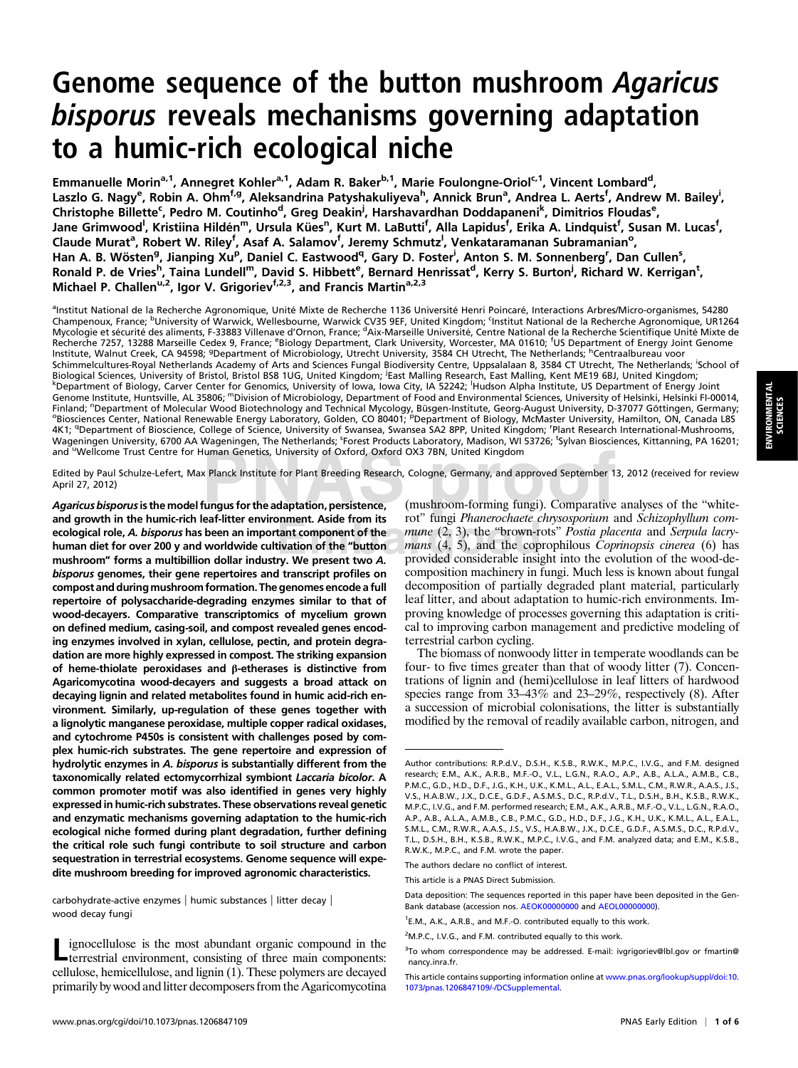## Genome sequence of the button mushroom Agaricus bisporus reveals mechanisms governing adaptation to a humic-rich ecological niche

Emmanuelle Morin<sup>a, 1</sup>, Annegret Kohler<sup>a, 1</sup>, Adam R. Baker<sup>b, 1</sup>, Marie Foulongne-Oriol<sup>c, 1</sup>, Vincent Lombard<sup>d</sup>, Laszlo G. Nagy<sup>e</sup>, Robin A. Ohm<sup>f,g</sup>, Aleksandrina Patyshakuliyeva<sup>h</sup>, Annick Brun<sup>a</sup>, Andrea L. Aerts<sup>f</sup>, Andrew M. Bailey<sup>i</sup>, Christophe Billette<sup>c</sup>, Pedro M. Coutinho<sup>d</sup>, Greg Deakin<sup>j</sup>, Harshavardhan Doddapaneni<sup>k</sup>, Dimitrios Floudas<sup>e</sup>, Jane Grimwood<sup>!</sup>, Kristiina Hildén<sup>m</sup>, Ursula Kües<sup>n</sup>, Kurt M. LaButti<sup>f</sup>, Alla Lapidus<sup>f</sup>, Erika A. Lindquist<sup>f</sup>, Susan M. Lucas<sup>f</sup>, Claude Murat<sup>a</sup>, Robert W. Riley<sup>f</sup>, Asaf A. Salamov<sup>f</sup>, Jeremy Schmutz<sup>i</sup>, Venkataramanan Subramanian<sup>o</sup>, Han A. B. Wösten<sup>g</sup>, Jianping Xu<sup>p</sup>, Daniel C. Eastwood<sup>q</sup>, Gary D. Foster<sup>i</sup>, Anton S. M. Sonnenberg<sup>r</sup>, Dan Cullen<sup>s</sup>, Ronald P. de Vries<sup>h</sup>, Taina Lundell<sup>m</sup>, David S. Hibbett<sup>e</sup>, Bernard Henrissat<sup>d</sup>, Kerry S. Burton<sup>j</sup>, Richard W. Kerrigan<sup>t</sup>, Michael P. Challen<sup>u,2</sup>, Igor V. Grigoriev<sup>f,2,3</sup>, and Francis Martin<sup>a,2,3</sup>

a Institut National de la Recherche Agronomique, Unité Mixte de Recherche 1136 Université Henri Poincaré, Interactions Arbres/Micro-organismes, 54280 Champenoux, France; <sup>b</sup>University of Warwick, Wellesbourne, Warwick CV35 9EF, United Kingdom; <sup>c</sup>Institut National de la Recherche Agronomique, UR1264<br>Mycologie et sécurité des aliments, F-33883 Villenave d'Ornon, France; Recherche 7257, 13288 Marseille Cedex 9, France; <sup>e</sup>Biology Department, Clark University, Worcester, MA 01610; <sup>f</sup>US Department of Energy Joint Genome<br>Institute, Walnut Creek, CA 94598; <sup>g</sup>Department of Microbiology, Utrec Schimmelcultures-Royal Netherlands Academy of Arts and Sciences Fungal Biodiversity Centre, Uppsalalaan 8, 3584 CT Utrecht, The Netherlands; <sup>i</sup> School of Biological Sciences, University of Bristol, Bristol BS8 1UG, United Kingdom; <sup>j</sup>East Malling Research, East Malling, Kent ME19 6BJ, United Kingdom;<br><sup>k</sup>Department of Biology, Carver Center for Genomics, University of Iowa, Genome Institute, Huntsville, AL 35806; "Division of Microbiology, Department of Food and Environmental Sciences, University of Helsinki, Helsinki FI-00014, Finland; "Department of Molecular Wood Biotechnology and Technical Mycology, Büsgen-Institute, Georg-August University, D-37077 Göttingen, Germany;<br>°Biosciences Center, National Renewable Energy Laboratory, Golden, CO 8040 4K1; <sup>q</sup>Department of Bioscience, College of Science, University of Swansea, Swansea SA2 8PP, United Kingdom; <sup>r</sup>Plant Research International-Mushrooms, Wageningen University, 6700 AA Wageningen, The Netherlands; <sup>s</sup>Forest Products Laboratory, Madison, WI 53726; <sup>t</sup>Sylvan Biosciences, Kittanning, PA 16201; and "Wellcome Trust Centre for Human Genetics, University of Oxford, Oxford OX3 7BN, United Kingdom

Edited by Paul Schulze-Lefert, Max Planck Institute for Plant Breeding Research, Cologne, Germany, and approved September 13, 2012 (received for review April 27, 2012)

Agaricus bisporus is themodel fungus for the adaptation, persistence, and growth in the humic-rich leaf-litter environment. Aside from its ecological role, A. bisporus has been an important component of the human diet for over 200 y and worldwide cultivation of the "button mushroom" forms a multibillion dollar industry. We present two A. bisporus genomes, their gene repertoires and transcript profiles on compost and during mushroom formation. The genomes encode a full repertoire of polysaccharide-degrading enzymes similar to that of wood-decayers. Comparative transcriptomics of mycelium grown on defined medium, casing-soil, and compost revealed genes encoding enzymes involved in xylan, cellulose, pectin, and protein degradation are more highly expressed in compost. The striking expansion of heme-thiolate peroxidases and β-etherases is distinctive from Agaricomycotina wood-decayers and suggests a broad attack on decaying lignin and related metabolites found in humic acid-rich environment. Similarly, up-regulation of these genes together with a lignolytic manganese peroxidase, multiple copper radical oxidases, and cytochrome P450s is consistent with challenges posed by complex humic-rich substrates. The gene repertoire and expression of hydrolytic enzymes in A. bisporus is substantially different from the taxonomically related ectomycorrhizal symbiont Laccaria bicolor. A common promoter motif was also identified in genes very highly expressed in humic-rich substrates. These observations reveal genetic and enzymatic mechanisms governing adaptation to the humic-rich ecological niche formed during plant degradation, further defining the critical role such fungi contribute to soil structure and carbon sequestration in terrestrial ecosystems. Genome sequence will expedite mushroom breeding for improved agronomic characteristics.

carbohydrate-active enzymes | humic substances | litter decay | wood decay fungi

(mushroom-forming fungi). Comparative analyses of the "whiterot" fungi Phanerochaete chrysosporium and Schizophyllum commune (2, 3), the "brown-rots" Postia placenta and Serpula lacrymans  $(4, 5)$ , and the coprophilous Coprinopsis cinerea  $(6)$  has provided considerable insight into the evolution of the wood-decomposition machinery in fungi. Much less is known about fungal decomposition of partially degraded plant material, particularly leaf litter, and about adaptation to humic-rich environments. Improving knowledge of processes governing this adaptation is critical to improving carbon management and predictive modeling of terrestrial carbon cycling.

The biomass of nonwoody litter in temperate woodlands can be four- to five times greater than that of woody litter (7). Concentrations of lignin and (hemi)cellulose in leaf litters of hardwood species range from 33–43% and 23–29%, respectively (8). After a succession of microbial colonisations, the litter is substantially modified by the removal of readily available carbon, nitrogen, and

Lignocellulose is the most abundant organic compound in the terrestrial environment, consisting of three main components: cellulose, hemicellulose, and lignin (1). These polymers are decayed primarily by wood and litter decomposers from the Agaricomycotina

Author contributions: R.P.d.V., D.S.H., K.S.B., R.W.K., M.P.C., I.V.G., and F.M. designed research; E.M., A.K., A.R.B., M.F.-O., V.L., L.G.N., R.A.O., A.P., A.B., A.L.A., A.M.B., C.B., P.M.C., G.D., H.D., D.F., J.G., K.H., U.K., K.M.L., A.L., E.A.L., S.M.L., C.M., R.W.R., A.A.S., J.S., V.S., H.A.B.W., J.X., D.C.E., G.D.F., A.S.M.S., D.C., R.P.d.V., T.L., D.S.H., B.H., K.S.B., R.W.K., M.P.C., I.V.G., and F.M. performed research; E.M., A.K., A.R.B., M.F.-O., V.L., L.G.N., R.A.O., A.P., A.B., A.L.A., A.M.B., C.B., P.M.C., G.D., H.D., D.F., J.G., K.H., U.K., K.M.L., A.L., E.A.L., S.M.L., C.M., R.W.R., A.A.S., J.S., V.S., H.A.B.W., J.X., D.C.E., G.D.F., A.S.M.S., D.C., R.P.d.V., T.L., D.S.H., B.H., K.S.B., R.W.K., M.P.C., I.V.G., and F.M. analyzed data; and E.M., K.S.B., R.W.K., M.P.C., and F.M. wrote the paper.

The authors declare no conflict of interest.

This article is a PNAS Direct Submission.

Data deposition: The sequences reported in this paper have been deposited in the Gen-Bank database (accession nos. [AEOK00000000](http://www.ncbi.nlm.nih.gov/nucleotide/AEOK00000000) and [AEOL00000000](http://www.ncbi.nlm.nih.gov/nucleotide/AEOL00000000)).

<sup>&</sup>lt;sup>1</sup>E.M., A.K., A.R.B., and M.F.-O. contributed equally to this work.

<sup>&</sup>lt;sup>2</sup>M.P.C., I.V.G., and F.M. contributed equally to this work.

<sup>&</sup>lt;sup>3</sup>To whom correspondence may be addressed. E-mail: [ivgrigoriev@lbl.gov](mailto:ivgrigoriev@lbl.gov) or [fmartin@](mailto:fmartin@nancy.inra.fr) [nancy.inra.fr](mailto:fmartin@nancy.inra.fr).

This article contains supporting information online at [www.pnas.org/lookup/suppl/doi:10.](http://www.pnas.org/lookup/suppl/doi:10.1073/pnas.1206847109/-/DCSupplemental) [1073/pnas.1206847109/-/DCSupplemental](http://www.pnas.org/lookup/suppl/doi:10.1073/pnas.1206847109/-/DCSupplemental).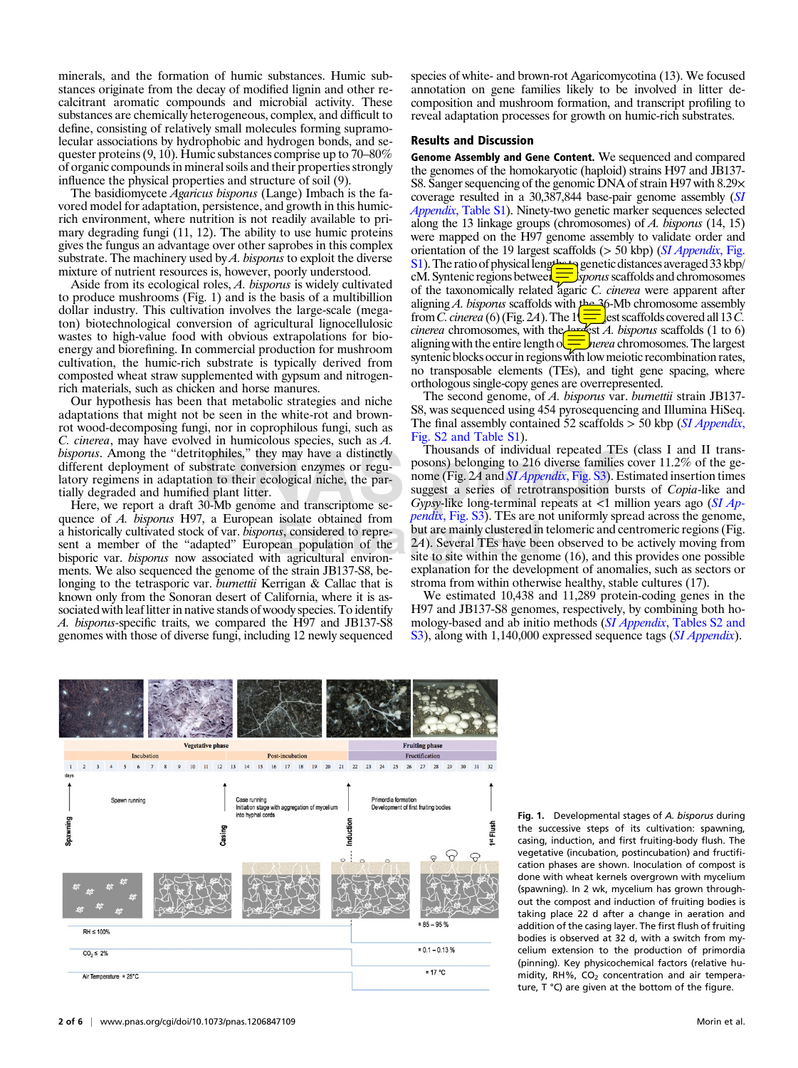minerals, and the formation of humic substances. Humic substances originate from the decay of modified lignin and other recalcitrant aromatic compounds and microbial activity. These substances are chemically heterogeneous, complex, and difficult to define, consisting of relatively small molecules forming supramolecular associations by hydrophobic and hydrogen bonds, and sequester proteins (9, 10). Humic substances comprise up to 70–80% of organic compounds in mineral soils and their properties strongly influence the physical properties and structure of soil (9).

The basidiomycete *Agaricus bisporus* (Lange) Imbach is the favored model for adaptation, persistence, and growth in this humicrich environment, where nutrition is not readily available to primary degrading fungi (11, 12). The ability to use humic proteins gives the fungus an advantage over other saprobes in this complex substrate. The machinery used by  $A$ . bisporus to exploit the diverse mixture of nutrient resources is, however, poorly understood.

Aside from its ecological roles, A. bisporus is widely cultivated to produce mushrooms (Fig. 1) and is the basis of a multibillion dollar industry. This cultivation involves the large-scale (megaton) biotechnological conversion of agricultural lignocellulosic wastes to high-value food with obvious extrapolations for bioenergy and biorefining. In commercial production for mushroom cultivation, the humic-rich substrate is typically derived from composted wheat straw supplemented with gypsum and nitrogenrich materials, such as chicken and horse manures.

Our hypothesis has been that metabolic strategies and niche adaptations that might not be seen in the white-rot and brownrot wood-decomposing fungi, nor in coprophilous fungi, such as C. cinerea, may have evolved in humicolous species, such as A. bisporus. Among the "detritophiles," they may have a distinctly different deployment of substrate conversion enzymes or regulatory regimens in adaptation to their ecological niche, the partially degraded and humified plant litter.

Here, we report a draft 30-Mb genome and transcriptome sequence of A. bisporus H97, a European isolate obtained from a historically cultivated stock of var. bisporus, considered to represent a member of the "adapted" European population of the bisporic var. *bisporus* now associated with agricultural environments. We also sequenced the genome of the strain JB137-S8, belonging to the tetrasporic var. burnettii Kerrigan & Callac that is known only from the Sonoran desert of California, where it is associated with leaf litter in native stands of woody species. To identify A. bisporus-specific traits, we compared the H97 and JB137-S8 genomes with those of diverse fungi, including 12 newly sequenced

species of white- and brown-rot Agaricomycotina (13). We focused annotation on gene families likely to be involved in litter decomposition and mushroom formation, and transcript profiling to reveal adaptation processes for growth on humic-rich substrates.

## Results and Discussion

Genome Assembly and Gene Content. We sequenced and compared the genomes of the homokaryotic (haploid) strains H97 and JB137- S8. Sanger sequencing of the genomic DNA of strain H97 with 8.29× coverage resulted in a 30,387,844 base-pair genome assembly ([SI](http://www.pnas.org/lookup/suppl/doi:10.1073/pnas.1206847109/-/DCSupplemental/sapp.pdf) Appendix[, Table S1\)](http://www.pnas.org/lookup/suppl/doi:10.1073/pnas.1206847109/-/DCSupplemental/sapp.pdf). Ninety-two genetic marker sequences selected along the 13 linkage groups (chromosomes) of A. bisporus (14, 15) were mapped on the H97 genome assembly to validate order and orientation of the 19 largest scaffolds  $(> 50$  kbp) (*[SI Appendix](http://www.pnas.org/lookup/suppl/doi:10.1073/pnas.1206847109/-/DCSupplemental/sapp.pdf)*, Fig. [S1](http://www.pnas.org/lookup/suppl/doi:10.1073/pnas.1206847109/-/DCSupplemental/sapp.pdf)). The ratio of physical lengths approximated istances averaged 33 kbp/ cM. Syntenic regions between $\sqrt{ }$  sporus scaffolds and chromosomes of the taxonomically related agaric C. cinerea were apparent after aligning A. bisporus scaffolds with  $t = 36$ -Mb chromosome assembly from C. cinerea (6) (Fig. 24). The  $1 \leq$  est scaffolds covered all 13 C. *cinerea* chromosomes, with the largest A. bisporus scaffolds (1 to 6) aligning with the entire length  $\alpha$  *nerea* chromosomes. The largest syntenic blocks occur in regions with low meiotic recombination rates, no transposable elements (TEs), and tight gene spacing, where orthologous single-copy genes are overrepresented.

The second genome, of A. bisporus var. burnettii strain JB137-S8, was sequenced using 454 pyrosequencing and Illumina HiSeq. The final assembly contained  $52$  scaffolds  $> 50$  kbp (*[SI Appendix](http://www.pnas.org/lookup/suppl/doi:10.1073/pnas.1206847109/-/DCSupplemental/sapp.pdf)*, [Fig. S2 and Table S1](http://www.pnas.org/lookup/suppl/doi:10.1073/pnas.1206847109/-/DCSupplemental/sapp.pdf)).

Thousands of individual repeated TEs (class I and II transposons) belonging to 216 diverse families cover 11.2% of the genome (Fig. 2A and *[SI Appendix](http://www.pnas.org/lookup/suppl/doi:10.1073/pnas.1206847109/-/DCSupplemental/sapp.pdf)*, Fig. S3). Estimated insertion times suggest a series of retrotransposition bursts of *Copia*-like and Gypsy-like long-terminal repeats at  $\langle$ 1 million years ago ([SI Ap](http://www.pnas.org/lookup/suppl/doi:10.1073/pnas.1206847109/-/DCSupplemental/sapp.pdf)pendix[, Fig. S3](http://www.pnas.org/lookup/suppl/doi:10.1073/pnas.1206847109/-/DCSupplemental/sapp.pdf)). TEs are not uniformly spread across the genome, but are mainly clustered in telomeric and centromeric regions (Fig. 2A). Several TEs have been observed to be actively moving from site to site within the genome (16), and this provides one possible explanation for the development of anomalies, such as sectors or stroma from within otherwise healthy, stable cultures (17).

We estimated 10,438 and 11,289 protein-coding genes in the H97 and JB137-S8 genomes, respectively, by combining both ho-mology-based and ab initio methods (SI Appendix[, Tables S2 and](http://www.pnas.org/lookup/suppl/doi:10.1073/pnas.1206847109/-/DCSupplemental/sapp.pdf) [S3\)](http://www.pnas.org/lookup/suppl/doi:10.1073/pnas.1206847109/-/DCSupplemental/sapp.pdf), along with 1,140,000 expressed sequence tags ([SI Appendix](http://www.pnas.org/lookup/suppl/doi:10.1073/pnas.1206847109/-/DCSupplemental/sapp.pdf)).



Fig. 1. Developmental stages of A. bisporus during the successive steps of its cultivation: spawning, casing, induction, and first fruiting-body flush. The vegetative (incubation, postincubation) and fructification phases are shown. Inoculation of compost is done with wheat kernels overgrown with mycelium (spawning). In 2 wk, mycelium has grown throughout the compost and induction of fruiting bodies is taking place 22 d after a change in aeration and addition of the casing layer. The first flush of fruiting bodies is observed at 32 d, with a switch from mycelium extension to the production of primordia (pinning). Key physicochemical factors (relative humidity, RH%,  $CO<sub>2</sub>$  concentration and air temperature. T °C) are given at the bottom of the figure.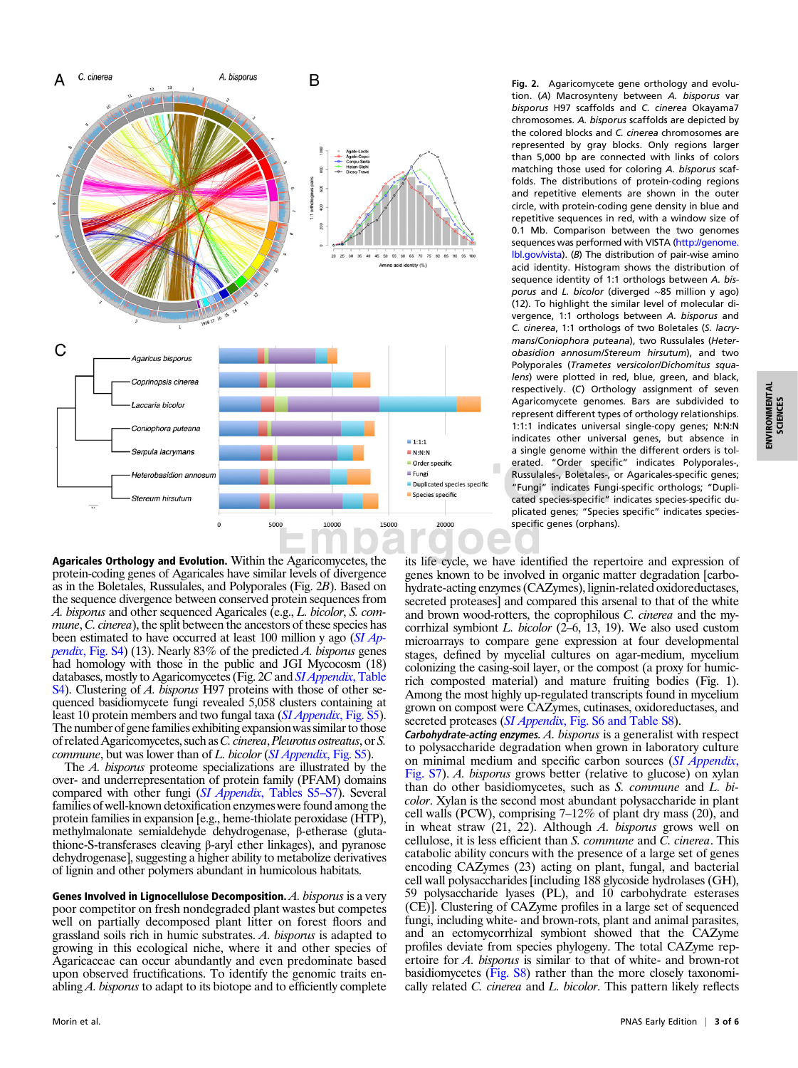

Fig. 2. Agaricomycete gene orthology and evolution. (A) Macrosynteny between A. bisporus var bisporus H97 scaffolds and C. cinerea Okayama7 chromosomes. A. bisporus scaffolds are depicted by the colored blocks and C. cinerea chromosomes are represented by gray blocks. Only regions larger than 5,000 bp are connected with links of colors matching those used for coloring A. bisporus scaffolds. The distributions of protein-coding regions and repetitive elements are shown in the outer circle, with protein-coding gene density in blue and repetitive sequences in red, with a window size of 0.1 Mb. Comparison between the two genomes sequences was performed with VISTA ([http://genome.](http://genome.lbl.gov/vista) [lbl.gov/vista](http://genome.lbl.gov/vista)). (B) The distribution of pair-wise amino acid identity. Histogram shows the distribution of sequence identity of 1:1 orthologs between A. bisporus and L. bicolor (diverged ∼85 million y ago) (12). To highlight the similar level of molecular divergence, 1:1 orthologs between A. bisporus and C. cinerea, 1:1 orthologs of two Boletales (S. lacrymans/Coniophora puteana), two Russulales (Heterobasidion annosum/Stereum hirsutum), and two Polyporales (Trametes versicolor/Dichomitus squalens) were plotted in red, blue, green, and black, respectively. (C) Orthology assignment of seven Agaricomycete genomes. Bars are subdivided to represent different types of orthology relationships. 1:1:1 indicates universal single-copy genes; N:N:N indicates other universal genes, but absence in a single genome within the different orders is tolerated. "Order specific" indicates Polyporales-, Russulales-, Boletales-, or Agaricales-specific genes; "Fungi" indicates Fungi-specific orthologs; "Duplicated species-specific" indicates species-specific duplicated genes; "Species specific" indicates speciesspecific genes (orphans).

Agaricales Orthology and Evolution. Within the Agaricomycetes, the protein-coding genes of Agaricales have similar levels of divergence as in the Boletales, Russulales, and Polyporales (Fig. 2B). Based on the sequence divergence between conserved protein sequences from A. bisporus and other sequenced Agaricales (e.g., L. bicolor, S. commune, C. cinerea), the split between the ancestors of these species has been estimated to have occurred at least 100 million y ago ([SI Ap-](http://www.pnas.org/lookup/suppl/doi:10.1073/pnas.1206847109/-/DCSupplemental/sapp.pdf)pendix[, Fig. S4](http://www.pnas.org/lookup/suppl/doi:10.1073/pnas.1206847109/-/DCSupplemental/sapp.pdf)) (13). Nearly 83% of the predicted A. bisporus genes had homology with those in the public and JGI Mycocosm (18) databases, mostly to Agaricomycetes (Fig. 2C and [SI Appendix](http://www.pnas.org/lookup/suppl/doi:10.1073/pnas.1206847109/-/DCSupplemental/sapp.pdf), Table [S4](http://www.pnas.org/lookup/suppl/doi:10.1073/pnas.1206847109/-/DCSupplemental/sapp.pdf)). Clustering of A. bisporus H97 proteins with those of other sequenced basidiomycete fungi revealed 5,058 clusters containing at least 10 protein members and two fungal taxa (*[SI Appendix](http://www.pnas.org/lookup/suppl/doi:10.1073/pnas.1206847109/-/DCSupplemental/sapp.pdf)*, Fig. S5). The number of gene families exhibiting expansion was similar to those of related Agaricomycetes, such asC. cinerea,Pleurotus ostreatus, or S. commune, but was lower than of L. bicolor ([SI Appendix](http://www.pnas.org/lookup/suppl/doi:10.1073/pnas.1206847109/-/DCSupplemental/sapp.pdf), Fig. S5).

The A. bisporus proteome specializations are illustrated by the over- and underrepresentation of protein family (PFAM) domains compared with other fungi ([SI Appendix](http://www.pnas.org/lookup/suppl/doi:10.1073/pnas.1206847109/-/DCSupplemental/sapp.pdf), Tables S5–[S7\)](http://www.pnas.org/lookup/suppl/doi:10.1073/pnas.1206847109/-/DCSupplemental/sapp.pdf). Several families of well-known detoxification enzymes were found among the protein families in expansion [e.g., heme-thiolate peroxidase (HTP), methylmalonate semialdehyde dehydrogenase, β-etherase (glutathione-S-transferases cleaving β-aryl ether linkages), and pyranose dehydrogenase], suggesting a higher ability to metabolize derivatives of lignin and other polymers abundant in humicolous habitats.

Genes Involved in Lignocellulose Decomposition.  $A.$  bisporus is a very poor competitor on fresh nondegraded plant wastes but competes well on partially decomposed plant litter on forest floors and grassland soils rich in humic substrates. A. bisporus is adapted to growing in this ecological niche, where it and other species of Agaricaceae can occur abundantly and even predominate based upon observed fructifications. To identify the genomic traits enabling  $\Lambda$ . bisporus to adapt to its biotope and to efficiently complete

its life cycle, we have identified the repertoire and expression of genes known to be involved in organic matter degradation [carbohydrate-acting enzymes (CAZymes), lignin-related oxidoreductases, secreted proteases] and compared this arsenal to that of the white and brown wood-rotters, the coprophilous C. cinerea and the mycorrhizal symbiont L. bicolor (2–6, 13, 19). We also used custom microarrays to compare gene expression at four developmental stages, defined by mycelial cultures on agar-medium, mycelium colonizing the casing-soil layer, or the compost (a proxy for humicrich composted material) and mature fruiting bodies (Fig. 1). Among the most highly up-regulated transcripts found in mycelium grown on compost were CAZymes, cutinases, oxidoreductases, and secreted proteases (*SI Appendix*[, Fig. S6 and Table S8](http://www.pnas.org/lookup/suppl/doi:10.1073/pnas.1206847109/-/DCSupplemental/sapp.pdf)).

Carbohydrate-acting enzymes. A. bisporus is a generalist with respect to polysaccharide degradation when grown in laboratory culture on minimal medium and specific carbon sources ([SI Appendix](http://www.pnas.org/lookup/suppl/doi:10.1073/pnas.1206847109/-/DCSupplemental/sapp.pdf), [Fig. S7\)](http://www.pnas.org/lookup/suppl/doi:10.1073/pnas.1206847109/-/DCSupplemental/sapp.pdf). A. bisporus grows better (relative to glucose) on xylan than do other basidiomycetes, such as S. commune and L. bicolor. Xylan is the second most abundant polysaccharide in plant cell walls (PCW), comprising 7–12% of plant dry mass (20), and in wheat straw  $(21, 22)$ . Although A. bisporus grows well on cellulose, it is less efficient than S. commune and C. cinerea. This catabolic ability concurs with the presence of a large set of genes encoding CAZymes (23) acting on plant, fungal, and bacterial cell wall polysaccharides [including 188 glycoside hydrolases (GH), 59 polysaccharide lyases (PL), and 10 carbohydrate esterases (CE)]. Clustering of CAZyme profiles in a large set of sequenced fungi, including white- and brown-rots, plant and animal parasites, and an ectomycorrhizal symbiont showed that the CAZyme profiles deviate from species phylogeny. The total CAZyme repertoire for A. bisporus is similar to that of white- and brown-rot basidiomycetes [\(Fig. S8\)](http://www.pnas.org/lookup/suppl/doi:10.1073/pnas.1206847109/-/DCSupplemental/sapp.pdf) rather than the more closely taxonomically related C. cinerea and L. bicolor. This pattern likely reflects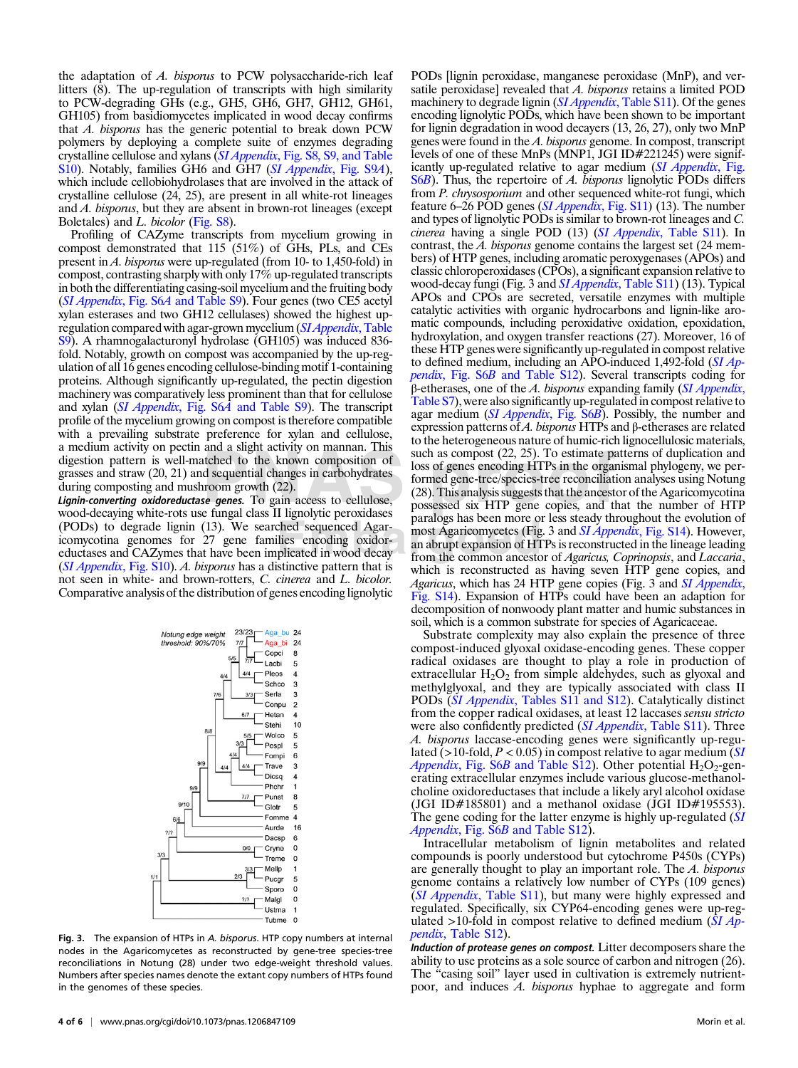the adaptation of A. bisporus to PCW polysaccharide-rich leaf litters  $(8)$ . The up-regulation of transcripts with high similarity to PCW-degrading GHs (e.g., GH5, GH6, GH7, GH12, GH61, GH105) from basidiomycetes implicated in wood decay confirms that A. bisporus has the generic potential to break down PCW polymers by deploying a complete suite of enzymes degrading crystalline cellulose and xylans (SI Appendix[, Fig. S8, S9, and Table](http://www.pnas.org/lookup/suppl/doi:10.1073/pnas.1206847109/-/DCSupplemental/sapp.pdf) [S10](http://www.pnas.org/lookup/suppl/doi:10.1073/pnas.1206847109/-/DCSupplemental/sapp.pdf)). Notably, families GH6 and GH7 ([SI Appendix](http://www.pnas.org/lookup/suppl/doi:10.1073/pnas.1206847109/-/DCSupplemental/sapp.pdf), Fig. S9A), which include cellobiohydrolases that are involved in the attack of crystalline cellulose (24, 25), are present in all white-rot lineages and A. bisporus, but they are absent in brown-rot lineages (except Boletales) and *L. bicolor* ([Fig. S8\)](http://www.pnas.org/lookup/suppl/doi:10.1073/pnas.1206847109/-/DCSupplemental/sapp.pdf).

Profiling of CAZyme transcripts from mycelium growing in compost demonstrated that 115 (51%) of GHs, PLs, and CEs present in A. bisporus were up-regulated (from 10- to 1,450-fold) in compost, contrasting sharply with only 17% up-regulated transcripts in both the differentiating casing-soil mycelium and the fruiting body (SI Appendix, Fig. S6A [and Table S9](http://www.pnas.org/lookup/suppl/doi:10.1073/pnas.1206847109/-/DCSupplemental/sapp.pdf)). Four genes (two CE5 acetyl xylan esterases and two GH12 cellulases) showed the highest up-regulation compared with agar-grown mycelium ([SI Appendix](http://www.pnas.org/lookup/suppl/doi:10.1073/pnas.1206847109/-/DCSupplemental/sapp.pdf), Table [S9\)](http://www.pnas.org/lookup/suppl/doi:10.1073/pnas.1206847109/-/DCSupplemental/sapp.pdf). A rhamnogalacturonyl hydrolase (GH105) was induced 836 fold. Notably, growth on compost was accompanied by the up-regulation of all 16 genes encoding cellulose-binding motif 1-containing proteins. Although significantly up-regulated, the pectin digestion machinery was comparatively less prominent than that for cellulose and xylan (SI Appendix, Fig. S6A [and Table S9](http://www.pnas.org/lookup/suppl/doi:10.1073/pnas.1206847109/-/DCSupplemental/sapp.pdf)). The transcript profile of the mycelium growing on compost is therefore compatible with a prevailing substrate preference for xylan and cellulose, a medium activity on pectin and a slight activity on mannan. This digestion pattern is well-matched to the known composition of grasses and straw (20, 21) and sequential changes in carbohydrates during composting and mushroom growth (22).

Lignin-converting oxidoreductase genes. To gain access to cellulose, wood-decaying white-rots use fungal class II lignolytic peroxidases (PODs) to degrade lignin (13). We searched sequenced Agaricomycotina genomes for 27 gene families encoding oxidoreductases and CAZymes that have been implicated in wood decay ([SI Appendix](http://www.pnas.org/lookup/suppl/doi:10.1073/pnas.1206847109/-/DCSupplemental/sapp.pdf), Fig. S10). A. bisporus has a distinctive pattern that is not seen in white- and brown-rotters, C. cinerea and L. bicolor. Comparative analysis of the distribution of genes encoding lignolytic



Fig. 3. The expansion of HTPs in A. bisporus. HTP copy numbers at internal nodes in the Agaricomycetes as reconstructed by gene-tree species-tree reconciliations in Notung (28) under two edge-weight threshold values. Numbers after species names denote the extant copy numbers of HTPs found in the genomes of these species.

PODs [lignin peroxidase, manganese peroxidase (MnP), and versatile peroxidase] revealed that A. bisporus retains a limited POD machinery to degrade lignin ([SI Appendix](http://www.pnas.org/lookup/suppl/doi:10.1073/pnas.1206847109/-/DCSupplemental/sapp.pdf), Table S11). Of the genes encoding lignolytic PODs, which have been shown to be important for lignin degradation in wood decayers (13, 26, 27), only two MnP genes were found in the A. bisporus genome. In compost, transcript levels of one of these MnPs (MNP1, JGI ID#221245) were signif-icantly up-regulated relative to agar medium ([SI Appendix](http://www.pnas.org/lookup/suppl/doi:10.1073/pnas.1206847109/-/DCSupplemental/sapp.pdf), Fig. [S6](http://www.pnas.org/lookup/suppl/doi:10.1073/pnas.1206847109/-/DCSupplemental/sapp.pdf)B). Thus, the repertoire of A. bisporus lignolytic PODs differs from P. chrysosporium and other sequenced white-rot fungi, which feature 6–26 POD genes ([SI Appendix](http://www.pnas.org/lookup/suppl/doi:10.1073/pnas.1206847109/-/DCSupplemental/sapp.pdf), Fig. S11) (13). The number and types of lignolytic PODs is similar to brown-rot lineages and C. cinerea having a single POD (13) ([SI Appendix](http://www.pnas.org/lookup/suppl/doi:10.1073/pnas.1206847109/-/DCSupplemental/sapp.pdf), Table S11). In contrast, the A. bisporus genome contains the largest set (24 members) of HTP genes, including aromatic peroxygenases (APOs) and classic chloroperoxidases (CPOs), a significant expansion relative to wood-decay fungi (Fig. 3 and *[SI Appendix](http://www.pnas.org/lookup/suppl/doi:10.1073/pnas.1206847109/-/DCSupplemental/sapp.pdf)*, Table S11) (13). Typical APOs and CPOs are secreted, versatile enzymes with multiple catalytic activities with organic hydrocarbons and lignin-like aromatic compounds, including peroxidative oxidation, epoxidation, hydroxylation, and oxygen transfer reactions (27). Moreover, 16 of these HTP genes were significantly up-regulated in compost relative to defined medium, including an APO-induced 1,492-fold  $(SIAp$ pendix, Fig. S6B [and Table S12](http://www.pnas.org/lookup/suppl/doi:10.1073/pnas.1206847109/-/DCSupplemental/sapp.pdf)). Several transcripts coding for β-etherases, one of the A. bisporus expanding family ([SI Appendix](http://www.pnas.org/lookup/suppl/doi:10.1073/pnas.1206847109/-/DCSupplemental/sapp.pdf), [Table S7](http://www.pnas.org/lookup/suppl/doi:10.1073/pnas.1206847109/-/DCSupplemental/sapp.pdf)), were also significantly up-regulated in compost relative to agar medium ([SI Appendix](http://www.pnas.org/lookup/suppl/doi:10.1073/pnas.1206847109/-/DCSupplemental/sapp.pdf), Fig. S6B). Possibly, the number and expression patterns of A. bisporus HTPs and β-etherases are related to the heterogeneous nature of humic-rich lignocellulosic materials, such as compost (22, 25). To estimate patterns of duplication and loss of genes encoding HTPs in the organismal phylogeny, we performed gene-tree/species-tree reconciliation analyses using Notung (28). This analysis suggests that the ancestor of the Agaricomycotina possessed six HTP gene copies, and that the number of HTP paralogs has been more or less steady throughout the evolution of most Agaricomycetes (Fig. 3 and [SI Appendix](http://www.pnas.org/lookup/suppl/doi:10.1073/pnas.1206847109/-/DCSupplemental/sapp.pdf), Fig. S14). However, an abrupt expansion of HTPs is reconstructed in the lineage leading from the common ancestor of Agaricus, Coprinopsis, and Laccaria, which is reconstructed as having seven HTP gene copies, and Agaricus, which has 24 HTP gene copies (Fig. 3 and *[SI Appendix](http://www.pnas.org/lookup/suppl/doi:10.1073/pnas.1206847109/-/DCSupplemental/sapp.pdf)*, [Fig. S14\)](http://www.pnas.org/lookup/suppl/doi:10.1073/pnas.1206847109/-/DCSupplemental/sapp.pdf). Expansion of HTPs could have been an adaption for decomposition of nonwoody plant matter and humic substances in soil, which is a common substrate for species of Agaricaceae.

Substrate complexity may also explain the presence of three compost-induced glyoxal oxidase-encoding genes. These copper radical oxidases are thought to play a role in production of extracellular  $H_2O_2$  from simple aldehydes, such as glyoxal and methylglyoxal, and they are typically associated with class II PODs (SI Appendix[, Tables S11 and S12](http://www.pnas.org/lookup/suppl/doi:10.1073/pnas.1206847109/-/DCSupplemental/sapp.pdf)). Catalytically distinct from the copper radical oxidases, at least 12 laccases sensu stricto were also confidently predicted ([SI Appendix](http://www.pnas.org/lookup/suppl/doi:10.1073/pnas.1206847109/-/DCSupplemental/sapp.pdf), Table S11). Three A. bisporus laccase-encoding genes were significantly up-regulated  $\hat{O}$  > 10-fold,  $P < 0.05$ ) in compost relative to agar medium ([SI](http://www.pnas.org/lookup/suppl/doi:10.1073/pnas.1206847109/-/DCSupplemental/sapp.pdf) Appendix, Fig. S6B [and Table S12\)](http://www.pnas.org/lookup/suppl/doi:10.1073/pnas.1206847109/-/DCSupplemental/sapp.pdf). Other potential  $H_2O_2$ -generating extracellular enzymes include various glucose-methanolcholine oxidoreductases that include a likely aryl alcohol oxidase (JGI ID#185801) and a methanol oxidase (JGI ID#195553). The gene coding for the latter enzyme is highly up-regulated ([SI](http://www.pnas.org/lookup/suppl/doi:10.1073/pnas.1206847109/-/DCSupplemental/sapp.pdf) Appendix, Fig. S6B [and Table S12\)](http://www.pnas.org/lookup/suppl/doi:10.1073/pnas.1206847109/-/DCSupplemental/sapp.pdf).

Intracellular metabolism of lignin metabolites and related compounds is poorly understood but cytochrome P450s (CYPs) are generally thought to play an important role. The A. bisporus genome contains a relatively low number of CYPs (109 genes) ([SI Appendix](http://www.pnas.org/lookup/suppl/doi:10.1073/pnas.1206847109/-/DCSupplemental/sapp.pdf), Table S11), but many were highly expressed and regulated. Specifically, six CYP64-encoding genes were up-regulated >10-fold in compost relative to defined medium  $(SIAp-)$ pendix[, Table S12\)](http://www.pnas.org/lookup/suppl/doi:10.1073/pnas.1206847109/-/DCSupplemental/sapp.pdf).

Induction of protease genes on compost. Litter decomposers share the ability to use proteins as a sole source of carbon and nitrogen (26). The "casing soil" layer used in cultivation is extremely nutrientpoor, and induces A. bisporus hyphae to aggregate and form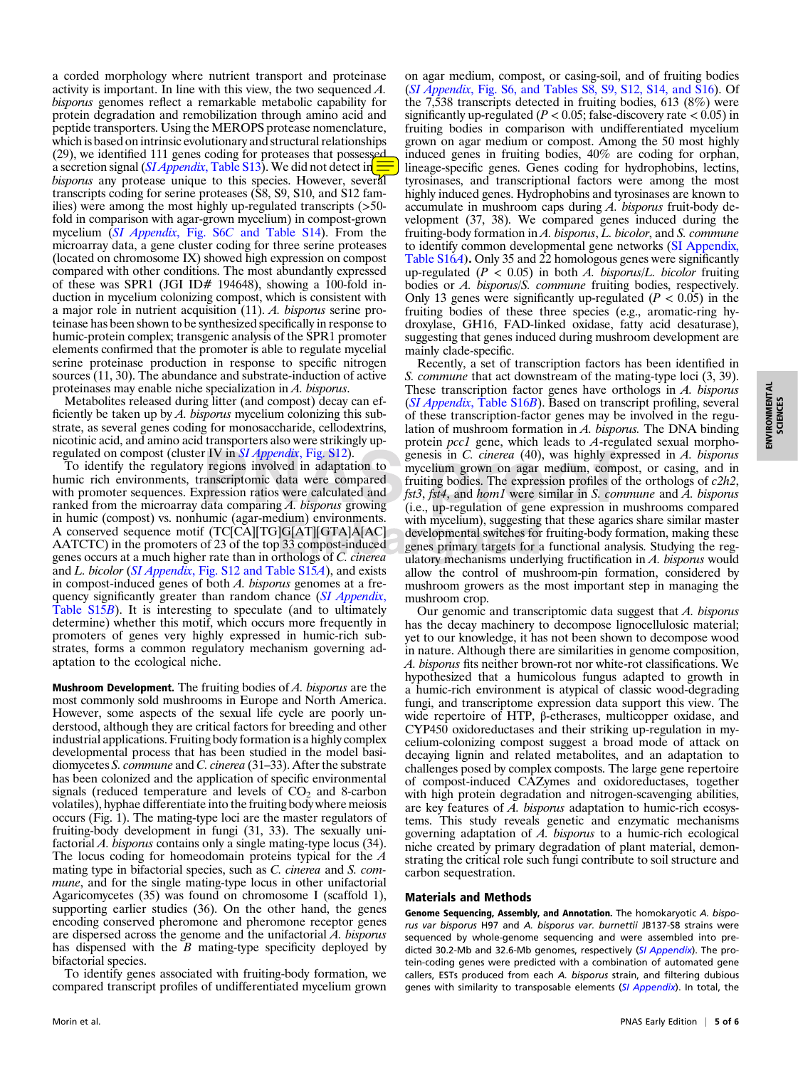a corded morphology where nutrient transport and proteinase activity is important. In line with this view, the two sequenced A. bisporus genomes reflect a remarkable metabolic capability for protein degradation and remobilization through amino acid and peptide transporters. Using the MEROPS protease nomenclature, which is based on intrinsic evolutionary and structural relationships (29), we identified 111 genes coding for proteases that possessed a secretion signal ([SI Appendix](http://www.pnas.org/lookup/suppl/doi:10.1073/pnas.1206847109/-/DCSupplemental/sapp.pdf), Table S13). We did not detect in  $\frac{1}{2}$ bisporus any protease unique to this species. However, several transcripts coding for serine proteases (S8, S9, S10, and S12 families) were among the most highly up-regulated transcripts (>50 fold in comparison with agar-grown mycelium) in compost-grown mycelium (SI Appendix, Fig. S6C [and Table S14](http://www.pnas.org/lookup/suppl/doi:10.1073/pnas.1206847109/-/DCSupplemental/sapp.pdf)). From the microarray data, a gene cluster coding for three serine proteases (located on chromosome IX) showed high expression on compost compared with other conditions. The most abundantly expressed of these was SPR1 (JGI ID# 194648), showing a 100-fold induction in mycelium colonizing compost, which is consistent with a major role in nutrient acquisition (11). A. bisporus serine proteinase has been shown to be synthesized specifically in response to humic-protein complex; transgenic analysis of the SPR1 promoter elements confirmed that the promoter is able to regulate mycelial serine proteinase production in response to specific nitrogen sources (11, 30). The abundance and substrate-induction of active proteinases may enable niche specialization in A. bisporus.

Metabolites released during litter (and compost) decay can efficiently be taken up by  $A$ . bisporus mycelium colonizing this substrate, as several genes coding for monosaccharide, cellodextrins, nicotinic acid, and amino acid transporters also were strikingly upregulated on compost (cluster IV in [SI Appendix](http://www.pnas.org/lookup/suppl/doi:10.1073/pnas.1206847109/-/DCSupplemental/sapp.pdf), Fig. S12).

To identify the regulatory regions involved in adaptation to humic rich environments, transcriptomic data were compared with promoter sequences. Expression ratios were calculated and ranked from the microarray data comparing A. bisporus growing in humic (compost) vs. nonhumic (agar-medium) environments. A conserved sequence motif (TC[CA][TG]G[AT][GTA]A[AC] AATCTC) in the promoters of 23 of the top 33 compost-induced genes occurs at a much higher rate than in orthologs of C. cinerea and L. bicolor (SI Appendix[, Fig. S12 and Table S15](http://www.pnas.org/lookup/suppl/doi:10.1073/pnas.1206847109/-/DCSupplemental/sapp.pdf)A), and exists in compost-induced genes of both  $A$ . bisporus genomes at a fre-quency significantly greater than random chance ([SI Appendix](http://www.pnas.org/lookup/suppl/doi:10.1073/pnas.1206847109/-/DCSupplemental/sapp.pdf), [Table S15](http://www.pnas.org/lookup/suppl/doi:10.1073/pnas.1206847109/-/DCSupplemental/sapp.pdf)B). It is interesting to speculate (and to ultimately determine) whether this motif, which occurs more frequently in promoters of genes very highly expressed in humic-rich substrates, forms a common regulatory mechanism governing adaptation to the ecological niche.

**Mushroom Development.** The fruiting bodies of  $A$ . bisporus are the most commonly sold mushrooms in Europe and North America. However, some aspects of the sexual life cycle are poorly understood, although they are critical factors for breeding and other industrial applications. Fruiting body formation is a highly complex developmental process that has been studied in the model basidiomycetes S. commune and C. cinerea (31–33). After the substrate has been colonized and the application of specific environmental signals (reduced temperature and levels of  $CO<sub>2</sub>$  and 8-carbon volatiles), hyphae differentiate into the fruiting body where meiosis occurs (Fig. 1). The mating-type loci are the master regulators of fruiting-body development in fungi (31, 33). The sexually unifactorial A. bisporus contains only a single mating-type locus (34). The locus coding for homeodomain proteins typical for the A mating type in bifactorial species, such as C. cinerea and S. commune, and for the single mating-type locus in other unifactorial Agaricomycetes (35) was found on chromosome I (scaffold 1), supporting earlier studies (36). On the other hand, the genes encoding conserved pheromone and pheromone receptor genes are dispersed across the genome and the unifactorial A. bisporus has dispensed with the  $B$  mating-type specificity deployed by bifactorial species.

To identify genes associated with fruiting-body formation, we compared transcript profiles of undifferentiated mycelium grown on agar medium, compost, or casing-soil, and of fruiting bodies (SI Appendix[, Fig. S6, and Tables S8, S9, S12, S14, and S16\)](http://www.pnas.org/lookup/suppl/doi:10.1073/pnas.1206847109/-/DCSupplemental/sapp.pdf). Of the 7,538 transcripts detected in fruiting bodies, 613 (8%) were significantly up-regulated ( $P < 0.05$ ; false-discovery rate  $< 0.05$ ) in fruiting bodies in comparison with undifferentiated mycelium grown on agar medium or compost. Among the 50 most highly induced genes in fruiting bodies, 40% are coding for orphan, lineage-specific genes. Genes coding for hydrophobins, lectins, tyrosinases, and transcriptional factors were among the most highly induced genes. Hydrophobins and tyrosinases are known to accumulate in mushroom caps during A. bisporus fruit-body development (37, 38). We compared genes induced during the fruiting-body formation in A. bisporus, L. bicolor, and S. commune to identify common developmental gene networks [\(SI Appendix,](http://www.pnas.org/lookup/suppl/doi:10.1073/pnas.1206847109/-/DCSupplemental/sapp.pdf) [Table S16](http://www.pnas.org/lookup/suppl/doi:10.1073/pnas.1206847109/-/DCSupplemental/sapp.pdf)A). Only 35 and 22 homologous genes were significantly up-regulated ( $P < 0.05$ ) in both A. bisporus/L. bicolor fruiting bodies or A. bisporus/S. commune fruiting bodies, respectively. Only 13 genes were significantly up-regulated  $(P < 0.05)$  in the fruiting bodies of these three species (e.g., aromatic-ring hydroxylase, GH16, FAD-linked oxidase, fatty acid desaturase), suggesting that genes induced during mushroom development are mainly clade-specific.

Recently, a set of transcription factors has been identified in S. *commune* that act downstream of the mating-type loci  $(3, 39)$ . These transcription factor genes have orthologs in A. bisporus ([SI Appendix](http://www.pnas.org/lookup/suppl/doi:10.1073/pnas.1206847109/-/DCSupplemental/sapp.pdf), Table S16B). Based on transcript profiling, several of these transcription-factor genes may be involved in the regulation of mushroom formation in A. bisporus. The DNA binding protein pcc1 gene, which leads to A-regulated sexual morphogenesis in C. cinerea (40), was highly expressed in A. bisporus mycelium grown on agar medium, compost, or casing, and in fruiting bodies. The expression profiles of the orthologs of c2h2, fst3, fst4, and hom1 were similar in S. commune and  $\overline{A}$ . bisporus (i.e., up-regulation of gene expression in mushrooms compared with mycelium), suggesting that these agarics share similar master developmental switches for fruiting-body formation, making these genes primary targets for a functional analysis. Studying the regulatory mechanisms underlying fructification in A. bisporus would allow the control of mushroom-pin formation, considered by mushroom growers as the most important step in managing the mushroom crop.

Our genomic and transcriptomic data suggest that A. bisporus has the decay machinery to decompose lignocellulosic material; yet to our knowledge, it has not been shown to decompose wood in nature. Although there are similarities in genome composition, A. bisporus fits neither brown-rot nor white-rot classifications. We hypothesized that a humicolous fungus adapted to growth in a humic-rich environment is atypical of classic wood-degrading fungi, and transcriptome expression data support this view. The wide repertoire of HTP, β-etherases, multicopper oxidase, and CYP450 oxidoreductases and their striking up-regulation in mycelium-colonizing compost suggest a broad mode of attack on decaying lignin and related metabolites, and an adaptation to challenges posed by complex composts. The large gene repertoire of compost-induced CAZymes and oxidoreductases, together with high protein degradation and nitrogen-scavenging abilities, are key features of A. bisporus adaptation to humic-rich ecosystems. This study reveals genetic and enzymatic mechanisms governing adaptation of A. bisporus to a humic-rich ecological niche created by primary degradation of plant material, demonstrating the critical role such fungi contribute to soil structure and carbon sequestration.

## Materials and Methods

Genome Sequencing, Assembly, and Annotation. The homokaryotic A. bisporus var bisporus H97 and A. bisporus var. burnettii JB137-S8 strains were sequenced by whole-genome sequencing and were assembled into pre-dicted 30.2-Mb and 32.6-Mb genomes, respectively ([SI Appendix](http://www.pnas.org/lookup/suppl/doi:10.1073/pnas.1206847109/-/DCSupplemental/sapp.pdf)). The protein-coding genes were predicted with a combination of automated gene callers, ESTs produced from each A. bisporus strain, and filtering dubious genes with similarity to transposable elements ([SI Appendix](http://www.pnas.org/lookup/suppl/doi:10.1073/pnas.1206847109/-/DCSupplemental/sapp.pdf)). In total, the